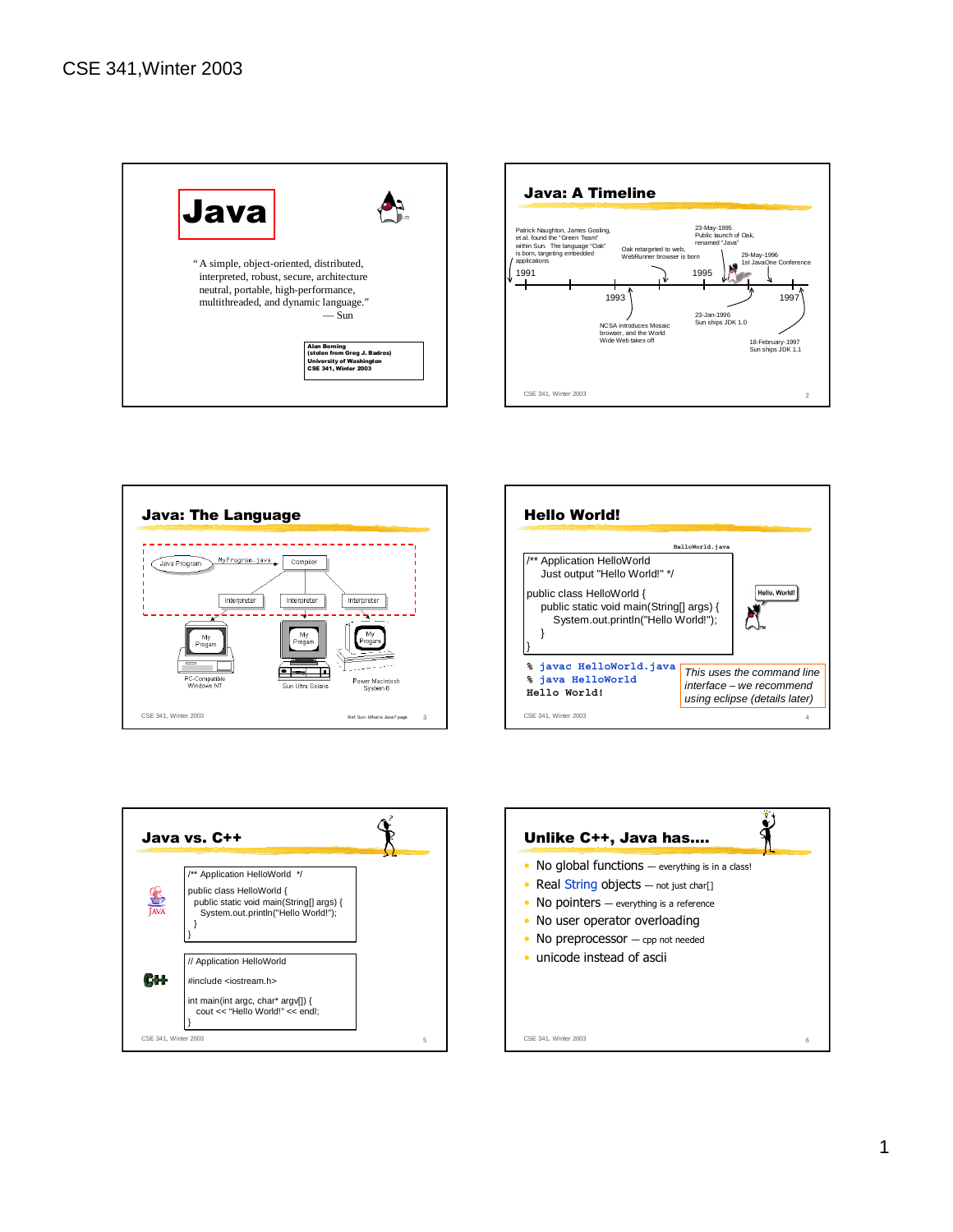









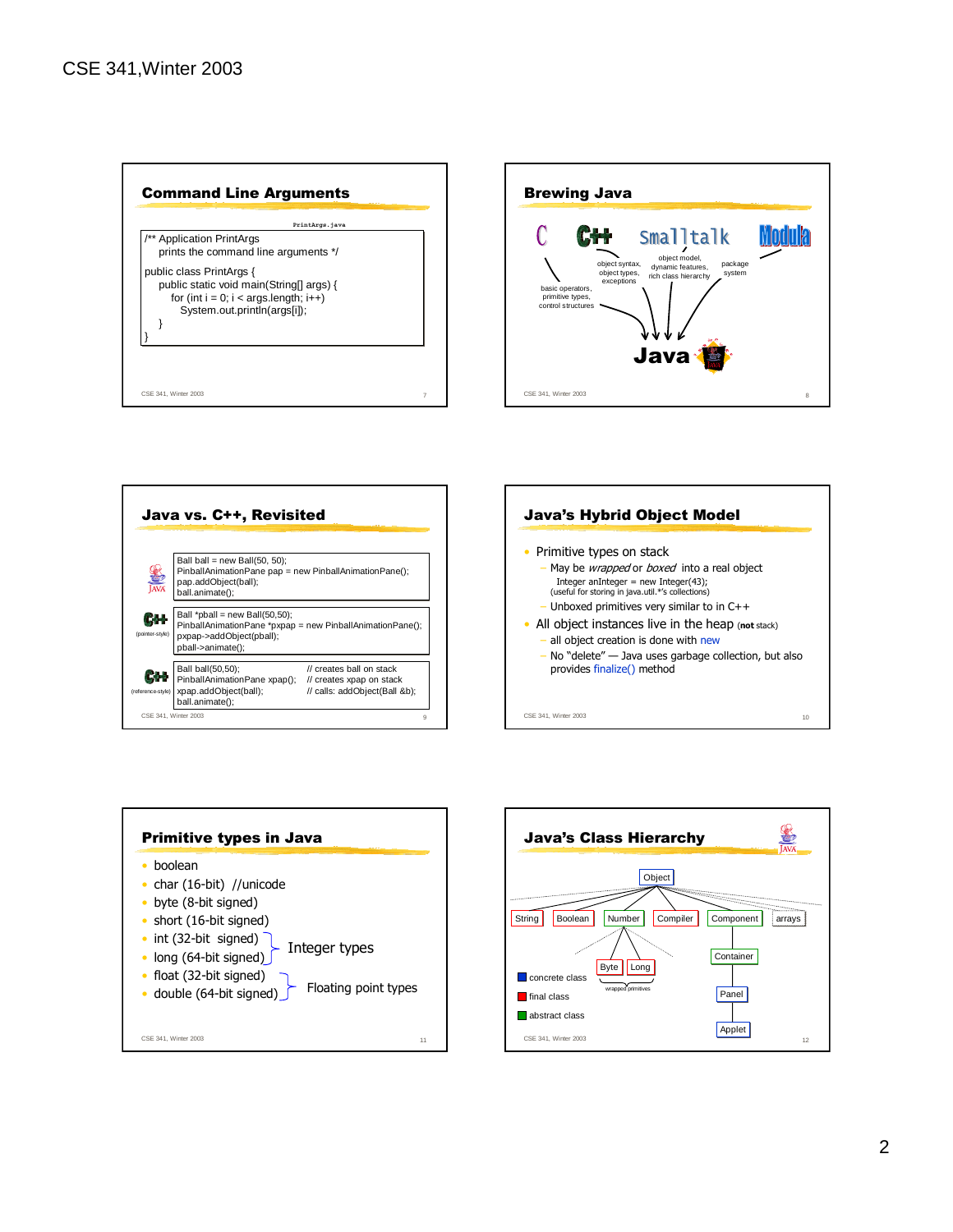









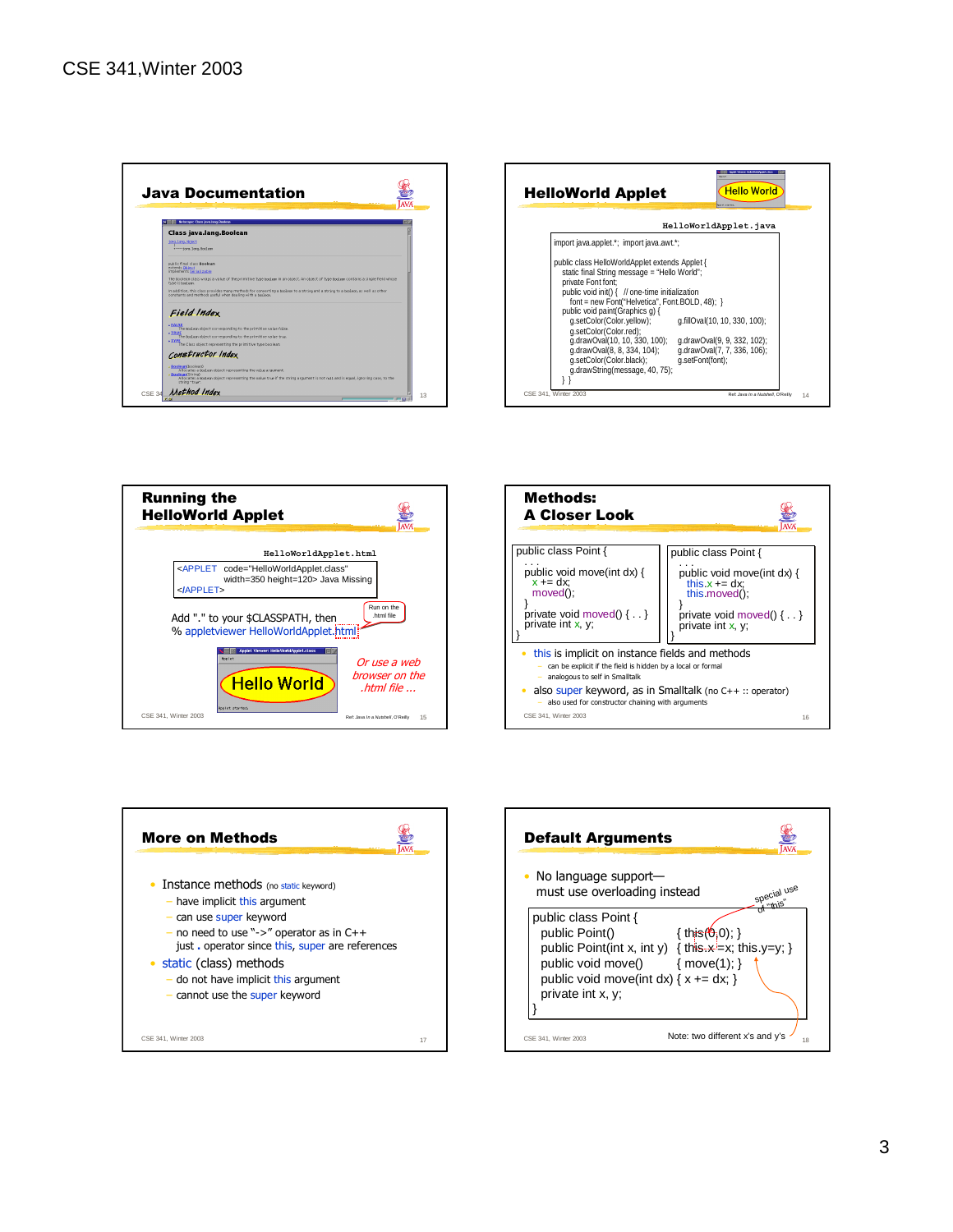









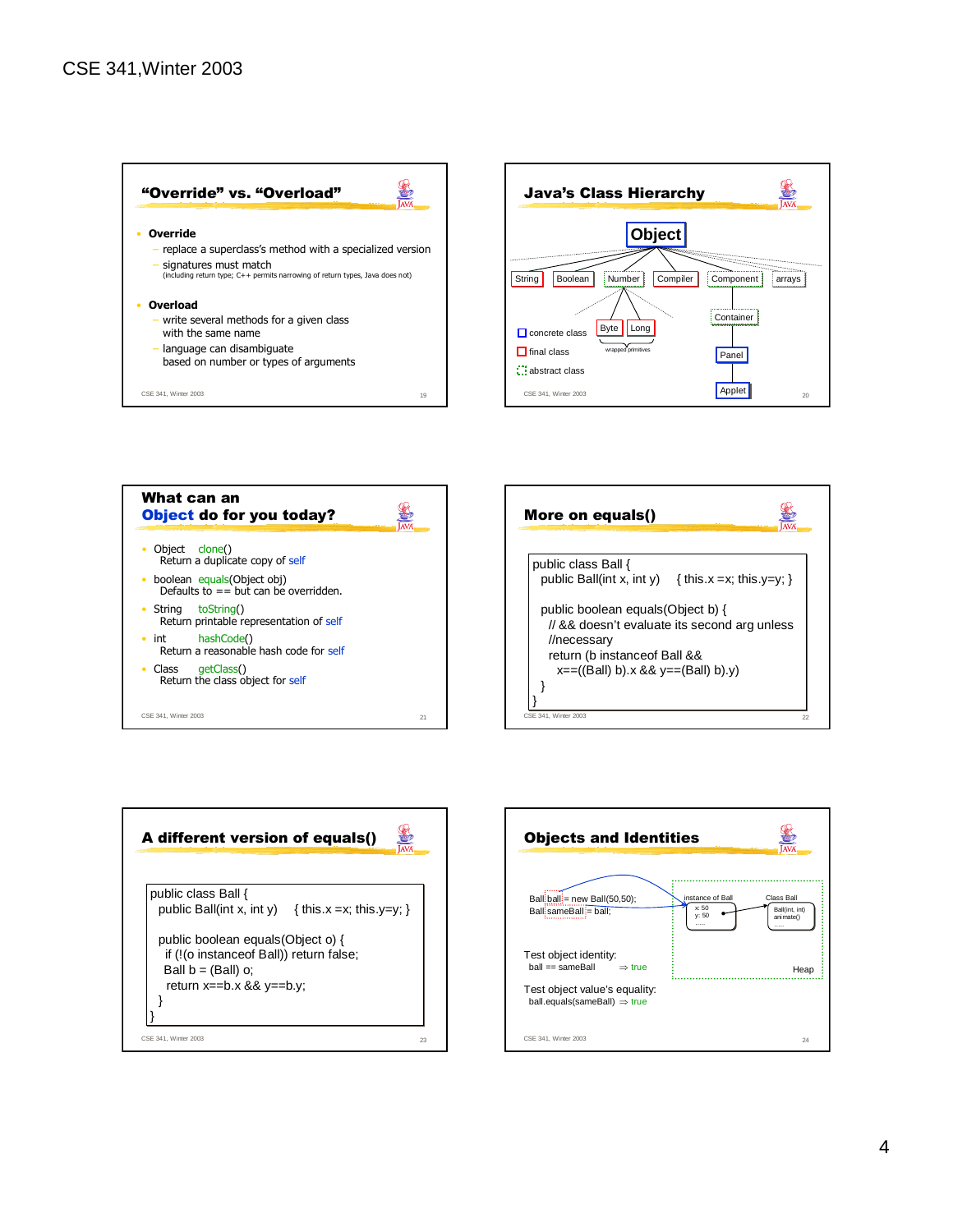







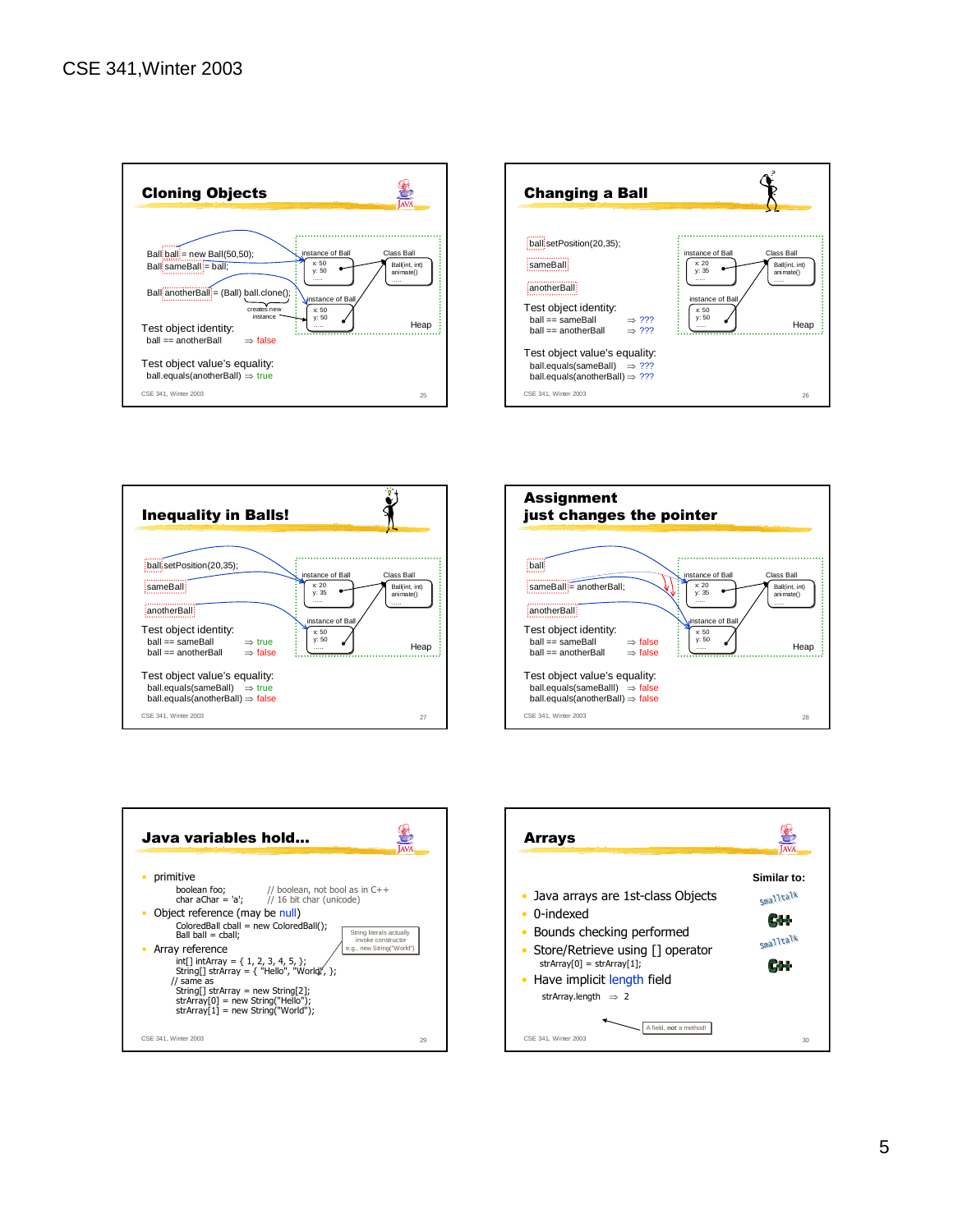









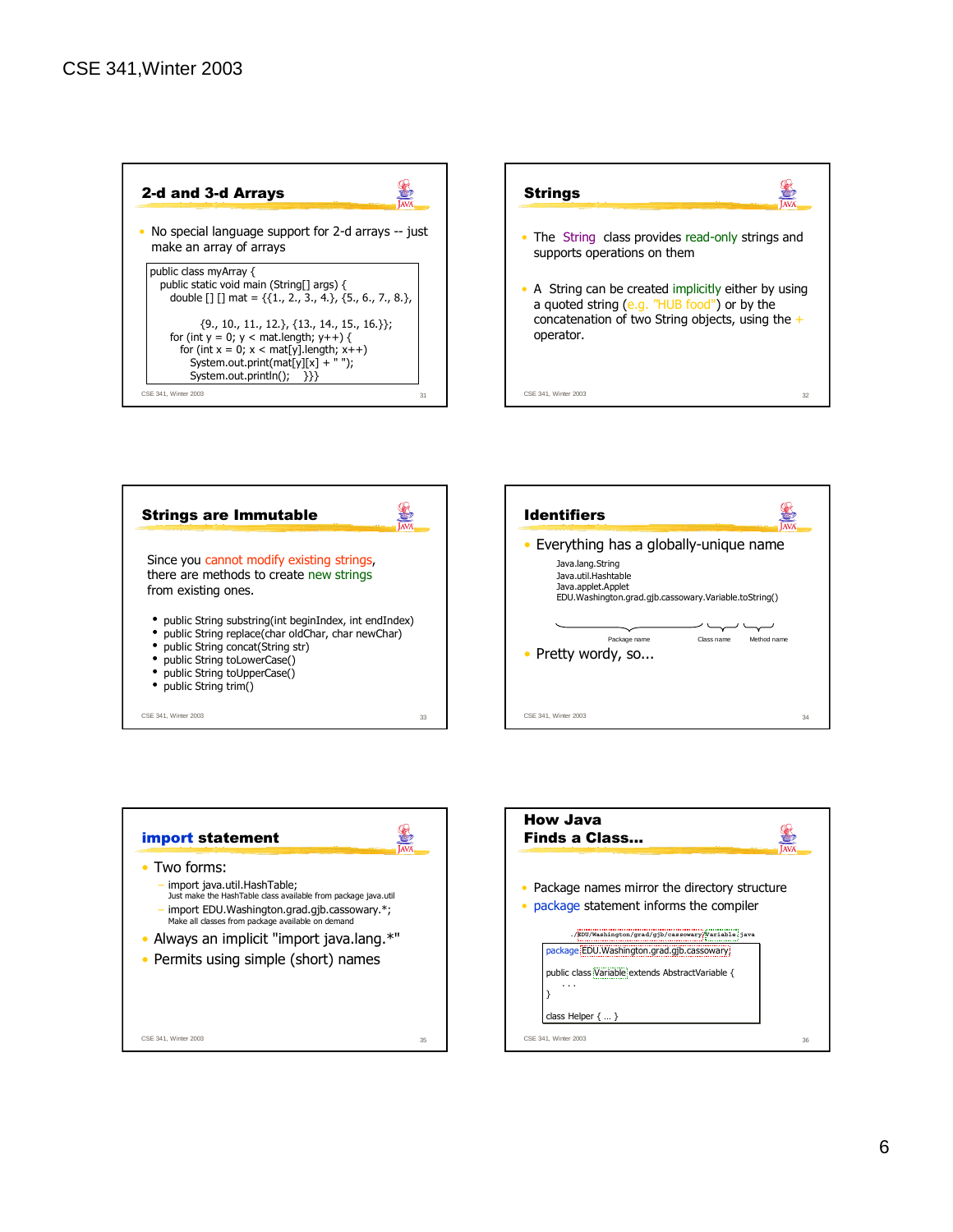









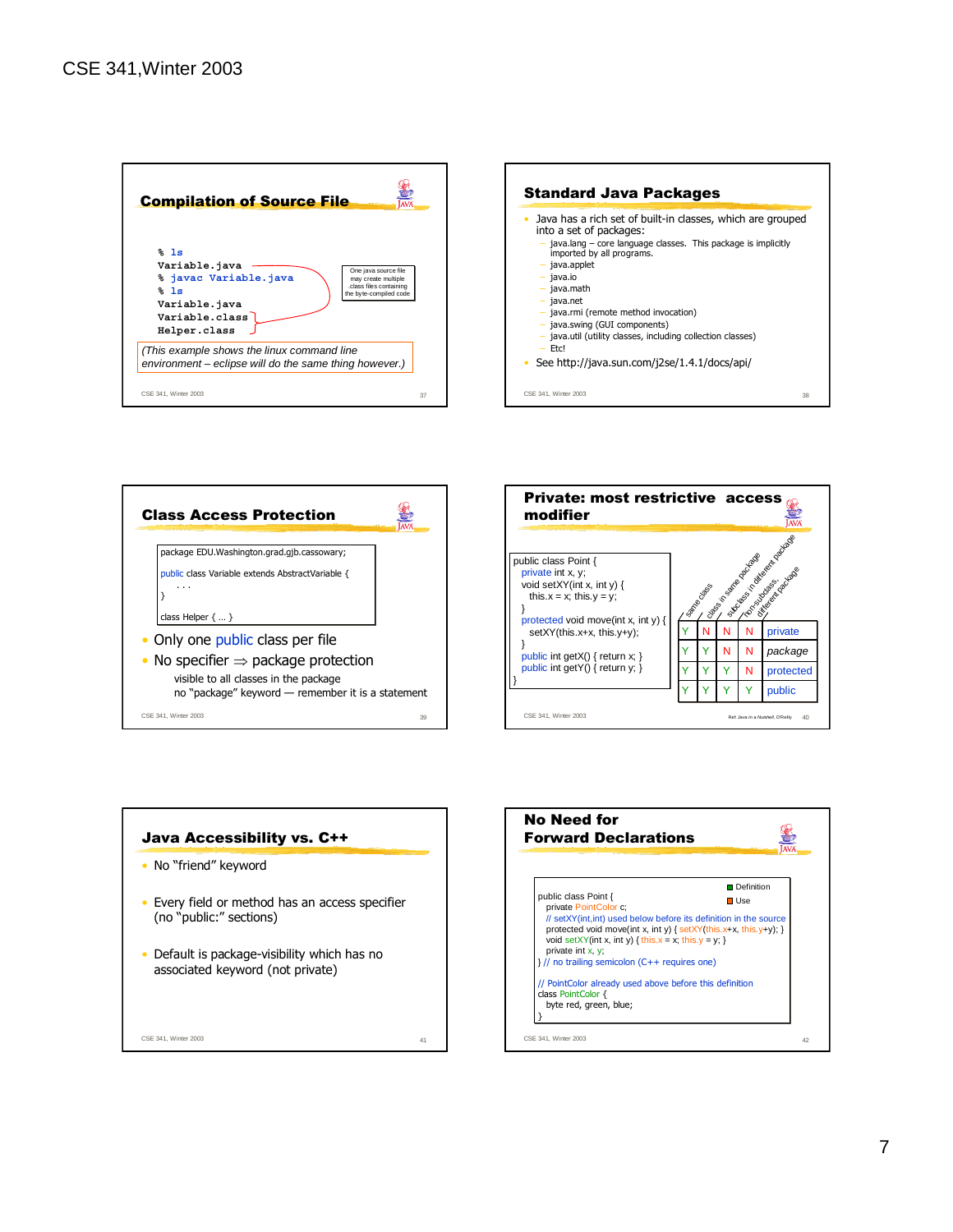









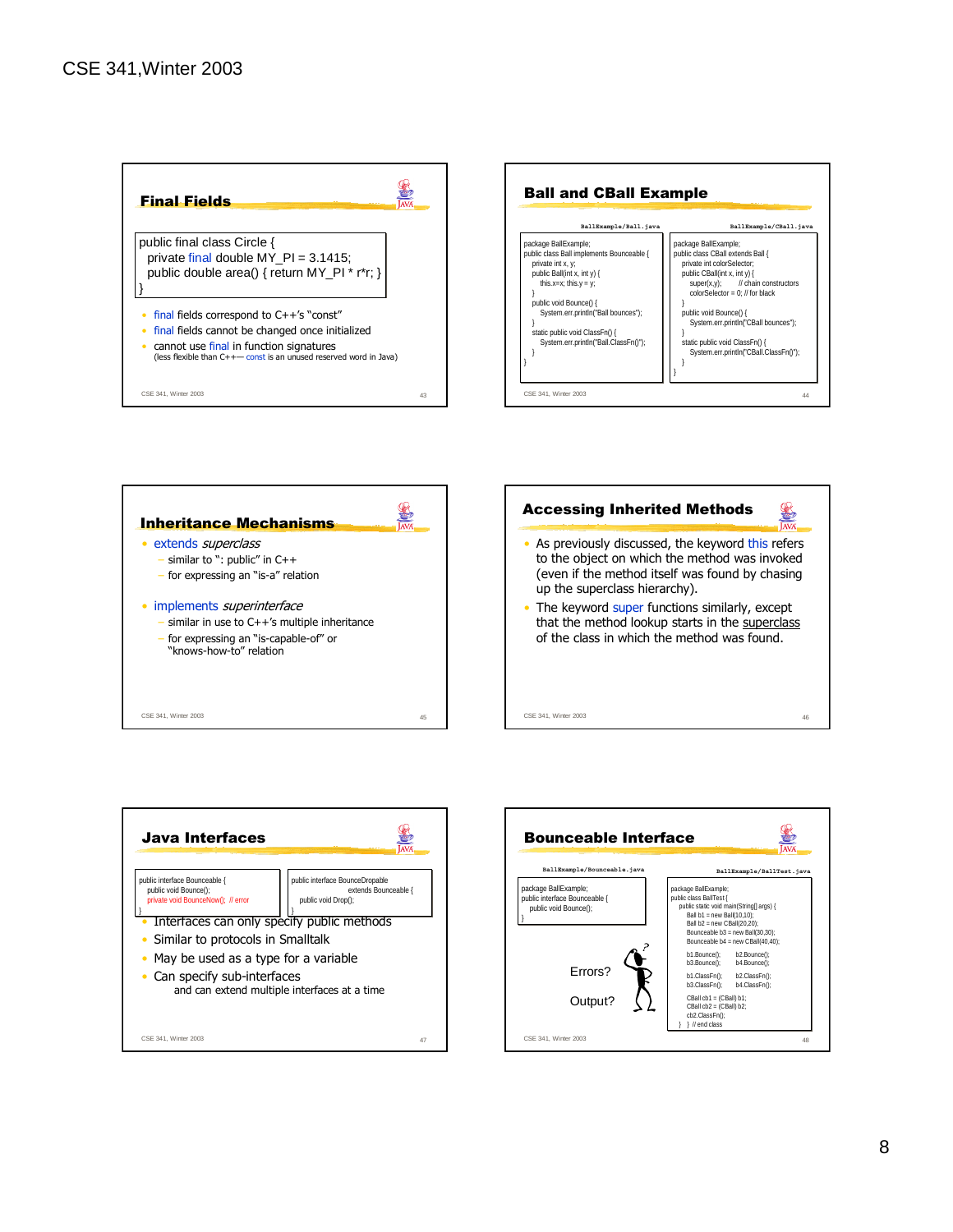





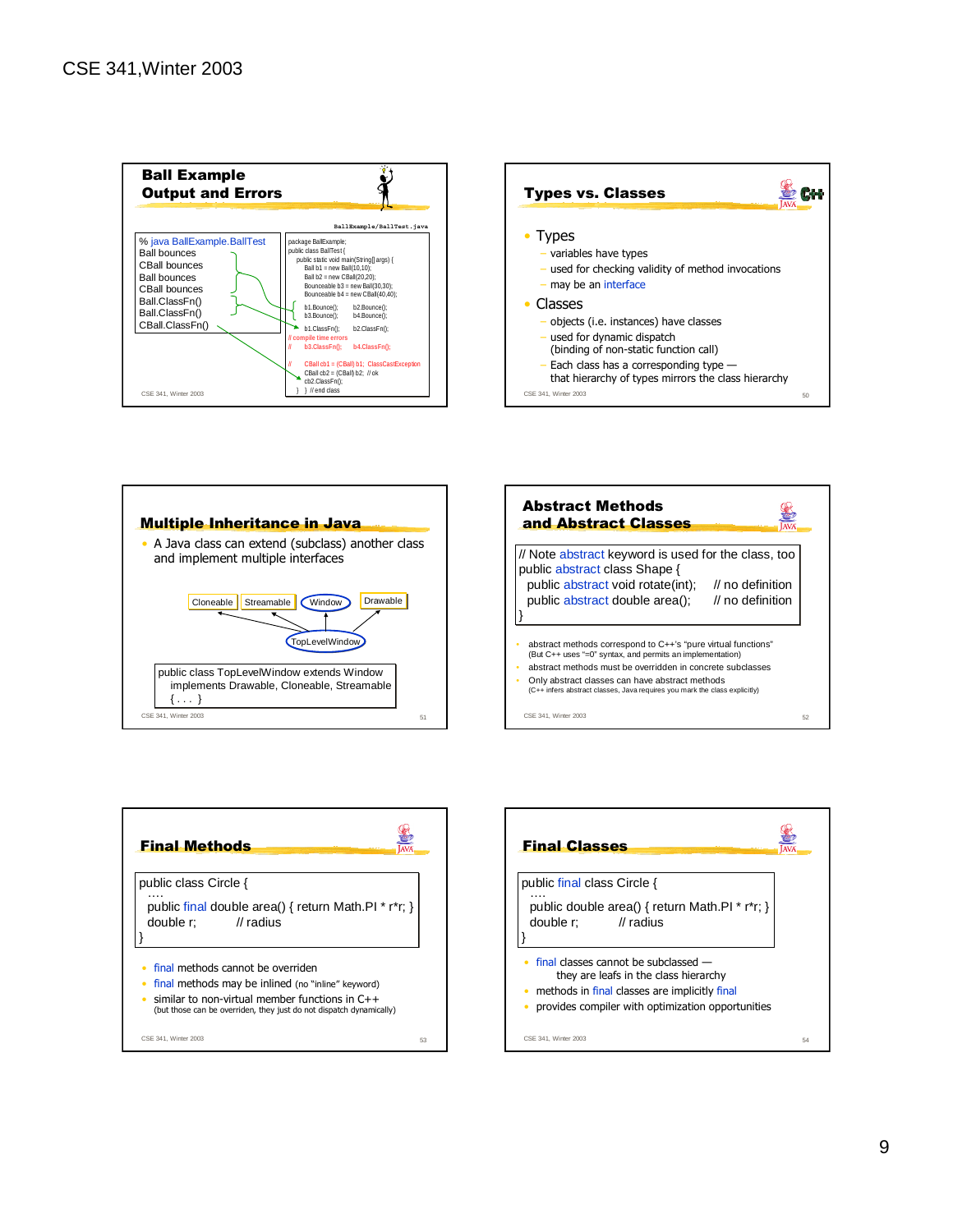